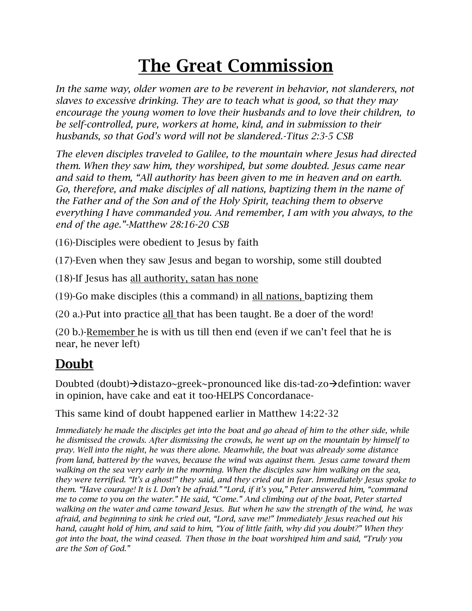# The Great Commission

In the same way, older women are to be reverent in behavior, not slanderers, not *slaves to excessive drinking. They are to teach what is good, so that they may encourage the young women to love their husbands and to love their children, to be self-controlled, pure, workers at home, kind, and in submission to their husbands, so that God's word will not be slandered.-Titus 2:3-5 CSB*

*The eleven disciples traveled to Galilee, to the mountain where Jesus had directed them. When they saw him, they worshiped, but some doubted. Jesus came near and said to them, "All authority has been given to me in heaven and on earth. Go, therefore, and make disciples of all nations, baptizing them in the name of the Father and of the Son and of the Holy Spirit, teaching them to observe everything I have commanded you. And remember, I am with you always, to the end of the age."-Matthew 28:16-20 CSB*

(16)-Disciples were obedient to Jesus by faith

(17)-Even when they saw Jesus and began to worship, some still doubted

(18)-If Jesus has all authority, satan has none

(19)-Go make disciples (this a command) in all nations, baptizing them

(20 a.)-Put into practice all that has been taught. Be a doer of the word!

(20 b.)-Remember he is with us till then end (even if we can't feel that he is near, he never left)

#### Doubt

Doubted (doubt) $\rightarrow$ distazo~greek~pronounced like dis-tad-zo $\rightarrow$ defintion: waver in opinion, have cake and eat it too-HELPS Concordanace-

This same kind of doubt happened earlier in Matthew 14:22-32

*Immediately he made the disciples get into the boat and go ahead of him to the other side, while he dismissed the crowds. After dismissing the crowds, he went up on the mountain by himself to pray. Well into the night, he was there alone. Meanwhile, the boat was already some distance from land, battered by the waves, because the wind was against them. Jesus came toward them walking on the sea very early in the morning. When the disciples saw him walking on the sea, they were terrified. "It's a ghost!" they said, and they cried out in fear. Immediately Jesus spoke to them. "Have courage! It is I. Don't be afraid." "Lord, if it's you," Peter answered him, "command me to come to you on the water." He said, "Come." And climbing out of the boat, Peter started walking on the water and came toward Jesus. But when he saw the strength of the wind, he was afraid, and beginning to sink he cried out, "Lord, save me!" Immediately Jesus reached out his hand, caught hold of him, and said to him, "You of little faith, why did you doubt?" When they got into the boat, the wind ceased. Then those in the boat worshiped him and said, "Truly you are the Son of God."*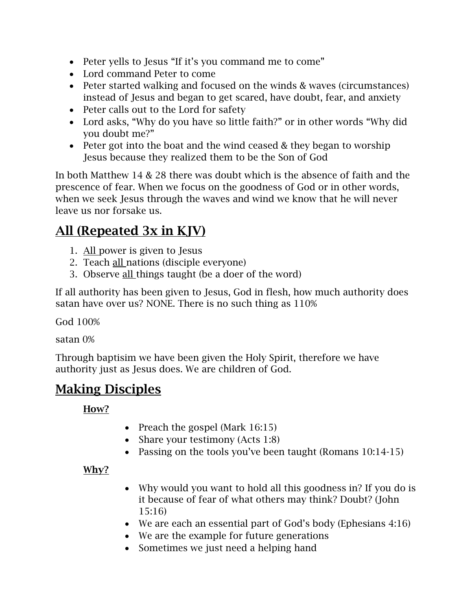- Peter yells to Jesus "If it's you command me to come"
- Lord command Peter to come
- Peter started walking and focused on the winds & waves (circumstances) instead of Jesus and began to get scared, have doubt, fear, and anxiety
- Peter calls out to the Lord for safety
- Lord asks, "Why do you have so little faith?" or in other words "Why did you doubt me?"
- Peter got into the boat and the wind ceased & they began to worship Jesus because they realized them to be the Son of God

In both Matthew 14 & 28 there was doubt which is the absence of faith and the prescence of fear. When we focus on the goodness of God or in other words, when we seek Jesus through the waves and wind we know that he will never leave us nor forsake us.

#### All (Repeated 3x in KJV)

- 1. All power is given to Jesus
- 2. Teach all nations (disciple everyone)
- 3. Observe all things taught (be a doer of the word)

If all authority has been given to Jesus, God in flesh, how much authority does satan have over us? NONE. There is no such thing as 110%

God 100%

satan 0%

Through baptisim we have been given the Holy Spirit, therefore we have authority just as Jesus does. We are children of God.

#### Making Disciples

How?

- Preach the gospel (Mark 16:15)
- Share your testimony (Acts 1:8)
- Passing on the tools you've been taught (Romans 10:14-15)

Why?

- Why would you want to hold all this goodness in? If you do is it because of fear of what others may think? Doubt? (John 15:16)
- We are each an essential part of God's body (Ephesians 4:16)
- We are the example for future generations
- Sometimes we just need a helping hand